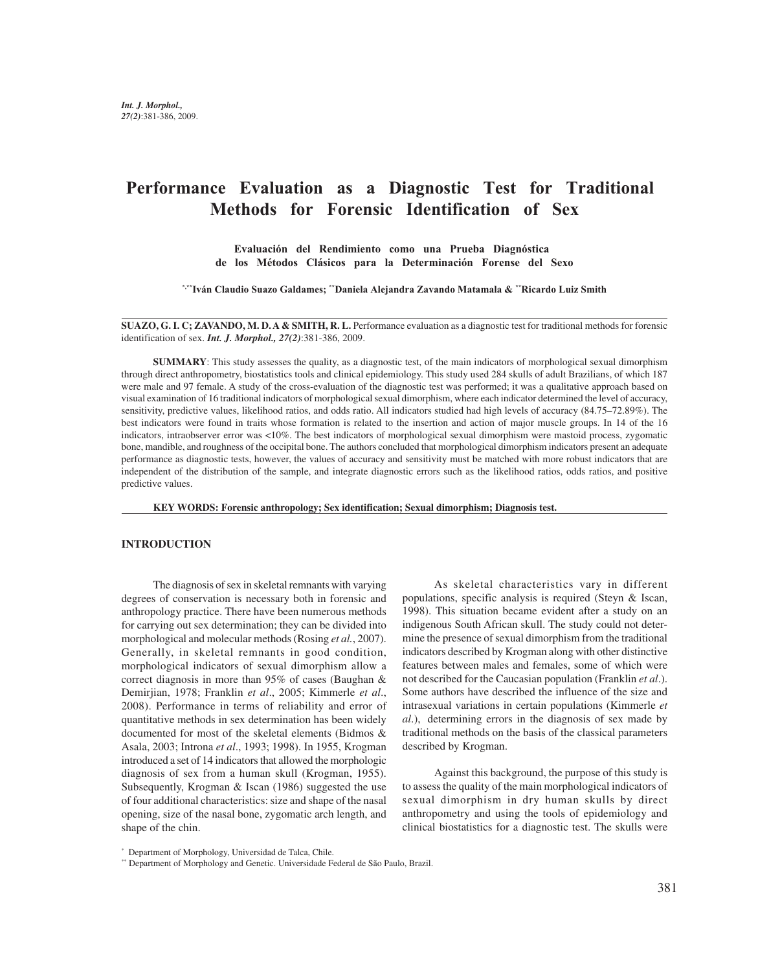# **Performance Evaluation as a Diagnostic Test for Traditional Methods for Forensic Identification of Sex**

**Evaluación del Rendimiento como una Prueba Diagnóstica de los Métodos Clásicos para la Determinación Forense del Sexo**

**\*,\*\*Iván Claudio Suazo Galdames; \*\*Daniela Alejandra Zavando Matamala & \*\*Ricardo Luiz Smith**

**SUAZO, G. I. C; ZAVANDO, M. D. A & SMITH, R. L.** Performance evaluation as a diagnostic test for traditional methods for forensic identification of sex. *Int. J. Morphol., 27(2)*:381-386, 2009.

**SUMMARY**: This study assesses the quality, as a diagnostic test, of the main indicators of morphological sexual dimorphism through direct anthropometry, biostatistics tools and clinical epidemiology. This study used 284 skulls of adult Brazilians, of which 187 were male and 97 female. A study of the cross-evaluation of the diagnostic test was performed; it was a qualitative approach based on visual examination of 16 traditional indicators of morphological sexual dimorphism, where each indicator determined the level of accuracy, sensitivity, predictive values, likelihood ratios, and odds ratio. All indicators studied had high levels of accuracy (84.75–72.89%). The best indicators were found in traits whose formation is related to the insertion and action of major muscle groups. In 14 of the 16 indicators, intraobserver error was <10%. The best indicators of morphological sexual dimorphism were mastoid process, zygomatic bone, mandible, and roughness of the occipital bone. The authors concluded that morphological dimorphism indicators present an adequate performance as diagnostic tests, however, the values of accuracy and sensitivity must be matched with more robust indicators that are independent of the distribution of the sample, and integrate diagnostic errors such as the likelihood ratios, odds ratios, and positive predictive values.

**KEY WORDS: Forensic anthropology; Sex identification; Sexual dimorphism; Diagnosis test.**

# **INTRODUCTION**

The diagnosis of sex in skeletal remnants with varying degrees of conservation is necessary both in forensic and anthropology practice. There have been numerous methods for carrying out sex determination; they can be divided into morphological and molecular methods (Rosing *et al.*, 2007). Generally, in skeletal remnants in good condition, morphological indicators of sexual dimorphism allow a correct diagnosis in more than 95% of cases (Baughan & Demirjian, 1978; Franklin *et al*., 2005; Kimmerle *et al*., 2008). Performance in terms of reliability and error of quantitative methods in sex determination has been widely documented for most of the skeletal elements (Bidmos & Asala, 2003; Introna *et al*., 1993; 1998). In 1955, Krogman introduced a set of 14 indicators that allowed the morphologic diagnosis of sex from a human skull (Krogman, 1955). Subsequently, Krogman & Iscan (1986) suggested the use of four additional characteristics: size and shape of the nasal opening, size of the nasal bone, zygomatic arch length, and shape of the chin.

As skeletal characteristics vary in different populations, specific analysis is required (Steyn & Iscan, 1998). This situation became evident after a study on an indigenous South African skull. The study could not determine the presence of sexual dimorphism from the traditional indicators described by Krogman along with other distinctive features between males and females, some of which were not described for the Caucasian population (Franklin *et al*.). Some authors have described the influence of the size and intrasexual variations in certain populations (Kimmerle *et al*.), determining errors in the diagnosis of sex made by traditional methods on the basis of the classical parameters described by Krogman.

Against this background, the purpose of this study is to assess the quality of the main morphological indicators of sexual dimorphism in dry human skulls by direct anthropometry and using the tools of epidemiology and clinical biostatistics for a diagnostic test. The skulls were

<sup>\*</sup> Department of Morphology, Universidad de Talca, Chile.

<sup>\*\*</sup> Department of Morphology and Genetic. Universidade Federal de São Paulo, Brazil.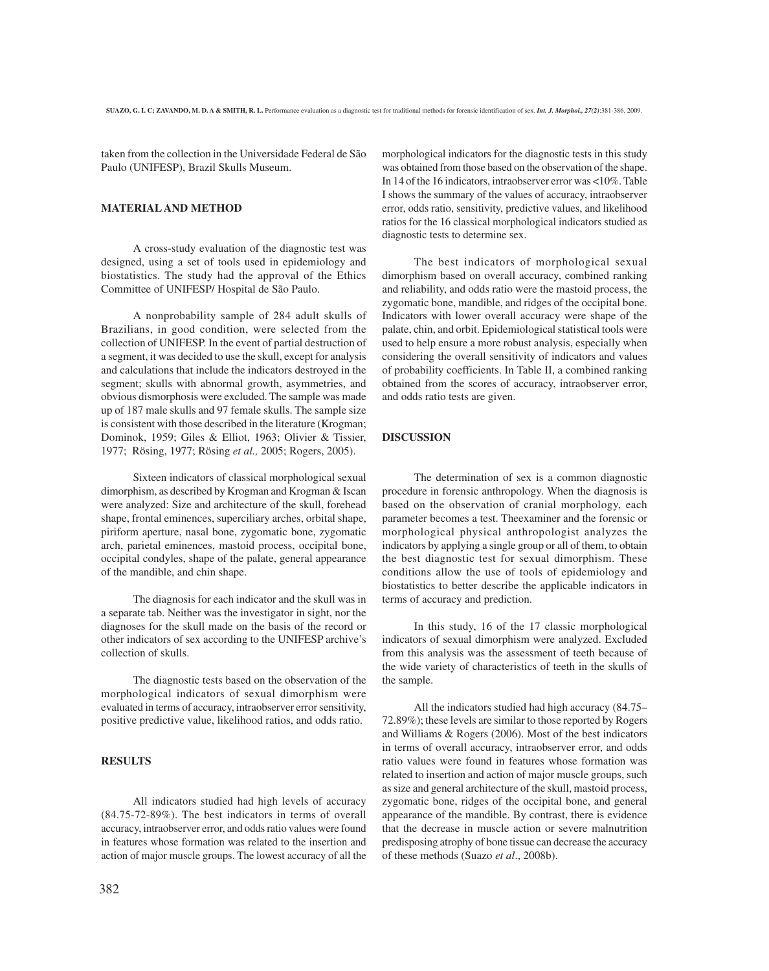taken from the collection in the Universidade Federal de São Paulo (UNIFESP), Brazil Skulls Museum.

# **MATERIAL AND METHOD**

A cross-study evaluation of the diagnostic test was designed, using a set of tools used in epidemiology and biostatistics. The study had the approval of the Ethics Committee of UNIFESP/ Hospital de São Paulo.

A nonprobability sample of 284 adult skulls of Brazilians, in good condition, were selected from the collection of UNIFESP. In the event of partial destruction of a segment, it was decided to use the skull, except for analysis and calculations that include the indicators destroyed in the segment; skulls with abnormal growth, asymmetries, and obvious dismorphosis were excluded. The sample was made up of 187 male skulls and 97 female skulls. The sample size is consistent with those described in the literature (Krogman; Dominok, 1959; Giles & Elliot, 1963; Olivier & Tissier, 1977; Rösing, 1977; Rösing *et al.,* 2005; Rogers, 2005).

Sixteen indicators of classical morphological sexual dimorphism, as described by Krogman and Krogman & Iscan were analyzed: Size and architecture of the skull, forehead shape, frontal eminences, superciliary arches, orbital shape, piriform aperture, nasal bone, zygomatic bone, zygomatic arch, parietal eminences, mastoid process, occipital bone, occipital condyles, shape of the palate, general appearance of the mandible, and chin shape.

The diagnosis for each indicator and the skull was in a separate tab. Neither was the investigator in sight, nor the diagnoses for the skull made on the basis of the record or other indicators of sex according to the UNIFESP archive's collection of skulls.

The diagnostic tests based on the observation of the morphological indicators of sexual dimorphism were evaluated in terms of accuracy, intraobserver error sensitivity, positive predictive value, likelihood ratios, and odds ratio.

#### **RESULTS**

All indicators studied had high levels of accuracy (84.75-72-89%). The best indicators in terms of overall accuracy, intraobserver error, and odds ratio values were found in features whose formation was related to the insertion and action of major muscle groups. The lowest accuracy of all the morphological indicators for the diagnostic tests in this study was obtained from those based on the observation of the shape. In 14 of the 16 indicators, intraobserver error was <10%. Table I shows the summary of the values of accuracy, intraobserver error, odds ratio, sensitivity, predictive values, and likelihood ratios for the 16 classical morphological indicators studied as diagnostic tests to determine sex.

The best indicators of morphological sexual dimorphism based on overall accuracy, combined ranking and reliability, and odds ratio were the mastoid process, the zygomatic bone, mandible, and ridges of the occipital bone. Indicators with lower overall accuracy were shape of the palate, chin, and orbit. Epidemiological statistical tools were used to help ensure a more robust analysis, especially when considering the overall sensitivity of indicators and values of probability coefficients. In Table II, a combined ranking obtained from the scores of accuracy, intraobserver error, and odds ratio tests are given.

## **DISCUSSION**

The determination of sex is a common diagnostic procedure in forensic anthropology. When the diagnosis is based on the observation of cranial morphology, each parameter becomes a test. Theexaminer and the forensic or morphological physical anthropologist analyzes the indicators by applying a single group or all of them, to obtain the best diagnostic test for sexual dimorphism. These conditions allow the use of tools of epidemiology and biostatistics to better describe the applicable indicators in terms of accuracy and prediction.

In this study, 16 of the 17 classic morphological indicators of sexual dimorphism were analyzed. Excluded from this analysis was the assessment of teeth because of the wide variety of characteristics of teeth in the skulls of the sample.

All the indicators studied had high accuracy (84.75– 72.89%); these levels are similar to those reported by Rogers and Williams & Rogers (2006). Most of the best indicators in terms of overall accuracy, intraobserver error, and odds ratio values were found in features whose formation was related to insertion and action of major muscle groups, such as size and general architecture of the skull, mastoid process, zygomatic bone, ridges of the occipital bone, and general appearance of the mandible. By contrast, there is evidence that the decrease in muscle action or severe malnutrition predisposing atrophy of bone tissue can decrease the accuracy of these methods (Suazo *et al*., 2008b).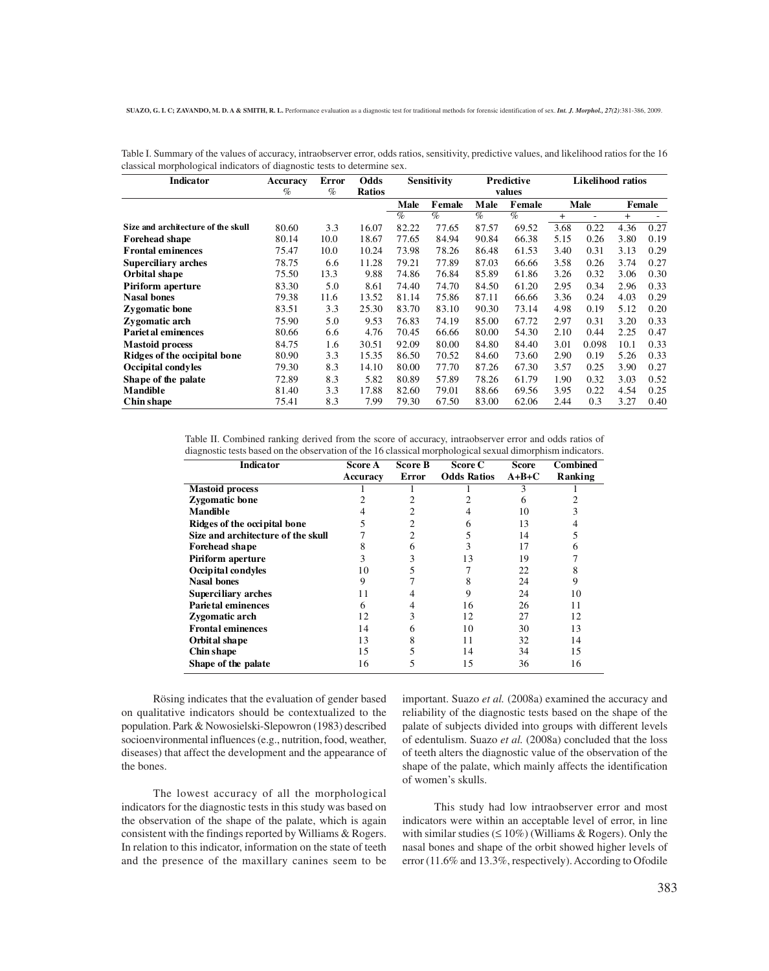| Indicator                          | Accuracy<br>$\%$ | Error<br>$\%$ | <b>Odds</b><br><b>Ratios</b> |       | <b>Sensitivity</b><br>Predictive<br>values |                 |                 | <b>Likelihood ratios</b> |                          |        |                              |
|------------------------------------|------------------|---------------|------------------------------|-------|--------------------------------------------|-----------------|-----------------|--------------------------|--------------------------|--------|------------------------------|
|                                    |                  |               |                              | Male  | Female                                     | Male            | Female          |                          | Male                     |        | Female                       |
|                                    |                  |               |                              | $\%$  | $\overline{\%}$                            | $\overline{\%}$ | $\overline{\%}$ | $^{+}$                   | $\overline{\phantom{a}}$ | $^{+}$ | $\qquad \qquad \blacksquare$ |
| Size and architecture of the skull | 80.60            | 3.3           | 16.07                        | 82.22 | 77.65                                      | 87.57           | 69.52           | 3.68                     | 0.22                     | 4.36   | 0.27                         |
| <b>Forehead shape</b>              | 80.14            | 10.0          | 18.67                        | 77.65 | 84.94                                      | 90.84           | 66.38           | 5.15                     | 0.26                     | 3.80   | 0.19                         |
| <b>Frontal eminences</b>           | 75.47            | 10.0          | 10.24                        | 73.98 | 78.26                                      | 86.48           | 61.53           | 3.40                     | 0.31                     | 3.13   | 0.29                         |
| <b>Superciliary arches</b>         | 78.75            | 6.6           | 11.28                        | 79.21 | 77.89                                      | 87.03           | 66.66           | 3.58                     | 0.26                     | 3.74   | 0.27                         |
| Orbital shape                      | 75.50            | 13.3          | 9.88                         | 74.86 | 76.84                                      | 85.89           | 61.86           | 3.26                     | 0.32                     | 3.06   | 0.30                         |
| <b>Piriform aperture</b>           | 83.30            | 5.0           | 8.61                         | 74.40 | 74.70                                      | 84.50           | 61.20           | 2.95                     | 0.34                     | 2.96   | 0.33                         |
| <b>Nasal bones</b>                 | 79.38            | 11.6          | 13.52                        | 81.14 | 75.86                                      | 87.11           | 66.66           | 3.36                     | 0.24                     | 4.03   | 0.29                         |
| Zygomatic bone                     | 83.51            | 3.3           | 25.30                        | 83.70 | 83.10                                      | 90.30           | 73.14           | 4.98                     | 0.19                     | 5.12   | 0.20                         |
| Zygomatic arch                     | 75.90            | 5.0           | 9.53                         | 76.83 | 74.19                                      | 85.00           | 67.72           | 2.97                     | 0.31                     | 3.20   | 0.33                         |
| <b>Pariet al eminences</b>         | 80.66            | 6.6           | 4.76                         | 70.45 | 66.66                                      | 80.00           | 54.30           | 2.10                     | 0.44                     | 2.25   | 0.47                         |
| <b>Mastoid process</b>             | 84.75            | 1.6           | 30.51                        | 92.09 | 80.00                                      | 84.80           | 84.40           | 3.01                     | 0.098                    | 10.1   | 0.33                         |
| Ridges of the occipital bone       | 80.90            | 3.3           | 15.35                        | 86.50 | 70.52                                      | 84.60           | 73.60           | 2.90                     | 0.19                     | 5.26   | 0.33                         |
| <b>Occipital condyles</b>          | 79.30            | 8.3           | 14.10                        | 80.00 | 77.70                                      | 87.26           | 67.30           | 3.57                     | 0.25                     | 3.90   | 0.27                         |
| Shape of the palate                | 72.89            | 8.3           | 5.82                         | 80.89 | 57.89                                      | 78.26           | 61.79           | 1.90                     | 0.32                     | 3.03   | 0.52                         |
| <b>Mandible</b>                    | 81.40            | 3.3           | 17.88                        | 82.60 | 79.01                                      | 88.66           | 69.56           | 3.95                     | 0.22                     | 4.54   | 0.25                         |
| Chin shape                         | 75.41            | 8.3           | 7.99                         | 79.30 | 67.50                                      | 83.00           | 62.06           | 2.44                     | 0.3                      | 3.27   | 0.40                         |

Table I. Summary of the values of accuracy, intraobserver error, odds ratios, sensitivity, predictive values, and likelihood ratios for the 16 classical morphological indicators of diagnostic tests to determine sex.

Table II. Combined ranking derived from the score of accuracy, intraobserver error and odds ratios of diagnostic tests based on the observation of the 16 classical morphological sexual dimorphism indicators.

| <b>Indicator</b>                   | <b>Score A</b> | Score B | Score C            | <b>Score</b> | <b>Combined</b> |
|------------------------------------|----------------|---------|--------------------|--------------|-----------------|
|                                    | Accuracy       | Error   | <b>Odds Ratios</b> | $A+B+C$      | Ranking         |
| <b>Mastoid process</b>             |                |         |                    | 3            |                 |
| Zygomatic bone                     |                |         |                    | 6            |                 |
| Mandible                           |                | 2       |                    | 10           |                 |
| Ridges of the occipital bone       |                | 2       | 6                  | 13           |                 |
| Size and architecture of the skull |                | 2       | 5                  | 14           |                 |
| Forehead shape                     |                | 6       | 3                  | 17           | h               |
| <b>Piriform aperture</b>           |                | 3       | 13                 | 19           |                 |
| Occipital condyles                 | 10             | 5       |                    | 22           | 8               |
| <b>Nasal bones</b>                 | 9              |         | 8                  | 24           | 9               |
| <b>Superciliary arches</b>         | 11             |         | 9                  | 24           | 10              |
| <b>Parietal eminences</b>          | 6              | 4       | 16                 | 26           | 11              |
| Zygomatic arch                     | 12             | 3       | 12                 | 27           | 12              |
| <b>Frontal eminences</b>           | 14             | 6       | 10                 | 30           | 13              |
| Orbital shape                      | 13             | 8       | 11                 | 32           | 14              |
| Chin shape                         | 15             |         | 14                 | 34           | 15              |
| Shape of the palate                | 16             | 5       | 15                 | 36           | 16              |

Rösing indicates that the evaluation of gender based on qualitative indicators should be contextualized to the population. Park & Nowosielski-Slepowron (1983) described socioenvironmental influences (e.g., nutrition, food, weather, diseases) that affect the development and the appearance of the bones.

The lowest accuracy of all the morphological indicators for the diagnostic tests in this study was based on the observation of the shape of the palate, which is again consistent with the findings reported by Williams & Rogers. In relation to this indicator, information on the state of teeth and the presence of the maxillary canines seem to be important. Suazo *et al.* (2008a) examined the accuracy and reliability of the diagnostic tests based on the shape of the palate of subjects divided into groups with different levels of edentulism. Suazo *et al.* (2008a) concluded that the loss of teeth alters the diagnostic value of the observation of the shape of the palate, which mainly affects the identification of women's skulls.

This study had low intraobserver error and most indicators were within an acceptable level of error, in line with similar studies  $( \leq 10\%)$  (Williams & Rogers). Only the nasal bones and shape of the orbit showed higher levels of error (11.6% and 13.3%, respectively). According to Ofodile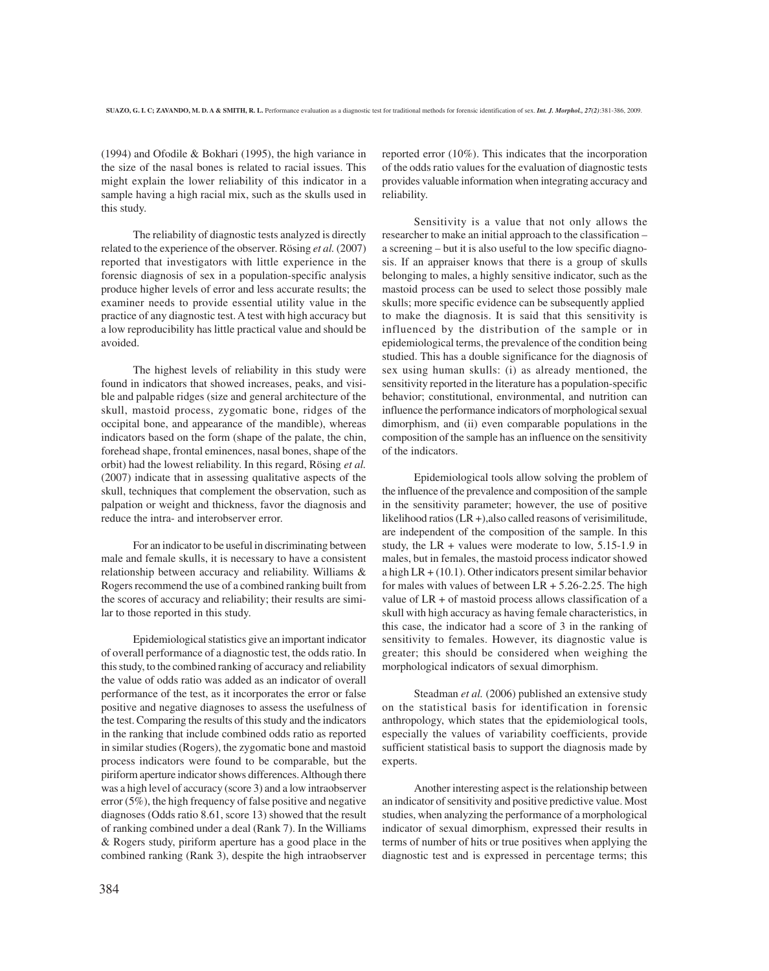(1994) and Ofodile & Bokhari (1995), the high variance in the size of the nasal bones is related to racial issues. This might explain the lower reliability of this indicator in a sample having a high racial mix, such as the skulls used in this study.

The reliability of diagnostic tests analyzed is directly related to the experience of the observer. Rösing *et al.* (2007) reported that investigators with little experience in the forensic diagnosis of sex in a population-specific analysis produce higher levels of error and less accurate results; the examiner needs to provide essential utility value in the practice of any diagnostic test. A test with high accuracy but a low reproducibility has little practical value and should be avoided.

The highest levels of reliability in this study were found in indicators that showed increases, peaks, and visible and palpable ridges (size and general architecture of the skull, mastoid process, zygomatic bone, ridges of the occipital bone, and appearance of the mandible), whereas indicators based on the form (shape of the palate, the chin, forehead shape, frontal eminences, nasal bones, shape of the orbit) had the lowest reliability. In this regard, Rösing *et al.* (2007) indicate that in assessing qualitative aspects of the skull, techniques that complement the observation, such as palpation or weight and thickness, favor the diagnosis and reduce the intra- and interobserver error.

For an indicator to be useful in discriminating between male and female skulls, it is necessary to have a consistent relationship between accuracy and reliability. Williams & Rogers recommend the use of a combined ranking built from the scores of accuracy and reliability; their results are similar to those reported in this study.

Epidemiological statistics give an important indicator of overall performance of a diagnostic test, the odds ratio. In this study, to the combined ranking of accuracy and reliability the value of odds ratio was added as an indicator of overall performance of the test, as it incorporates the error or false positive and negative diagnoses to assess the usefulness of the test. Comparing the results of this study and the indicators in the ranking that include combined odds ratio as reported in similar studies (Rogers), the zygomatic bone and mastoid process indicators were found to be comparable, but the piriform aperture indicator shows differences. Although there was a high level of accuracy (score 3) and a low intraobserver error (5%), the high frequency of false positive and negative diagnoses (Odds ratio 8.61, score 13) showed that the result of ranking combined under a deal (Rank 7). In the Williams & Rogers study, piriform aperture has a good place in the combined ranking (Rank 3), despite the high intraobserver

reported error (10%). This indicates that the incorporation of the odds ratio values for the evaluation of diagnostic tests provides valuable information when integrating accuracy and reliability.

Sensitivity is a value that not only allows the researcher to make an initial approach to the classification – a screening – but it is also useful to the low specific diagnosis. If an appraiser knows that there is a group of skulls belonging to males, a highly sensitive indicator, such as the mastoid process can be used to select those possibly male skulls; more specific evidence can be subsequently applied to make the diagnosis. It is said that this sensitivity is influenced by the distribution of the sample or in epidemiological terms, the prevalence of the condition being studied. This has a double significance for the diagnosis of sex using human skulls: (i) as already mentioned, the sensitivity reported in the literature has a population-specific behavior; constitutional, environmental, and nutrition can influence the performance indicators of morphological sexual dimorphism, and (ii) even comparable populations in the composition of the sample has an influence on the sensitivity of the indicators.

Epidemiological tools allow solving the problem of the influence of the prevalence and composition of the sample in the sensitivity parameter; however, the use of positive likelihood ratios (LR +), also called reasons of verisimilitude, are independent of the composition of the sample. In this study, the LR + values were moderate to low,  $5.15$ -1.9 in males, but in females, the mastoid process indicator showed a high LR + (10.1). Other indicators present similar behavior for males with values of between  $LR + 5.26 - 2.25$ . The high value of LR + of mastoid process allows classification of a skull with high accuracy as having female characteristics, in this case, the indicator had a score of 3 in the ranking of sensitivity to females. However, its diagnostic value is greater; this should be considered when weighing the morphological indicators of sexual dimorphism.

Steadman *et al.* (2006) published an extensive study on the statistical basis for identification in forensic anthropology, which states that the epidemiological tools, especially the values of variability coefficients, provide sufficient statistical basis to support the diagnosis made by experts.

Another interesting aspect is the relationship between an indicator of sensitivity and positive predictive value. Most studies, when analyzing the performance of a morphological indicator of sexual dimorphism, expressed their results in terms of number of hits or true positives when applying the diagnostic test and is expressed in percentage terms; this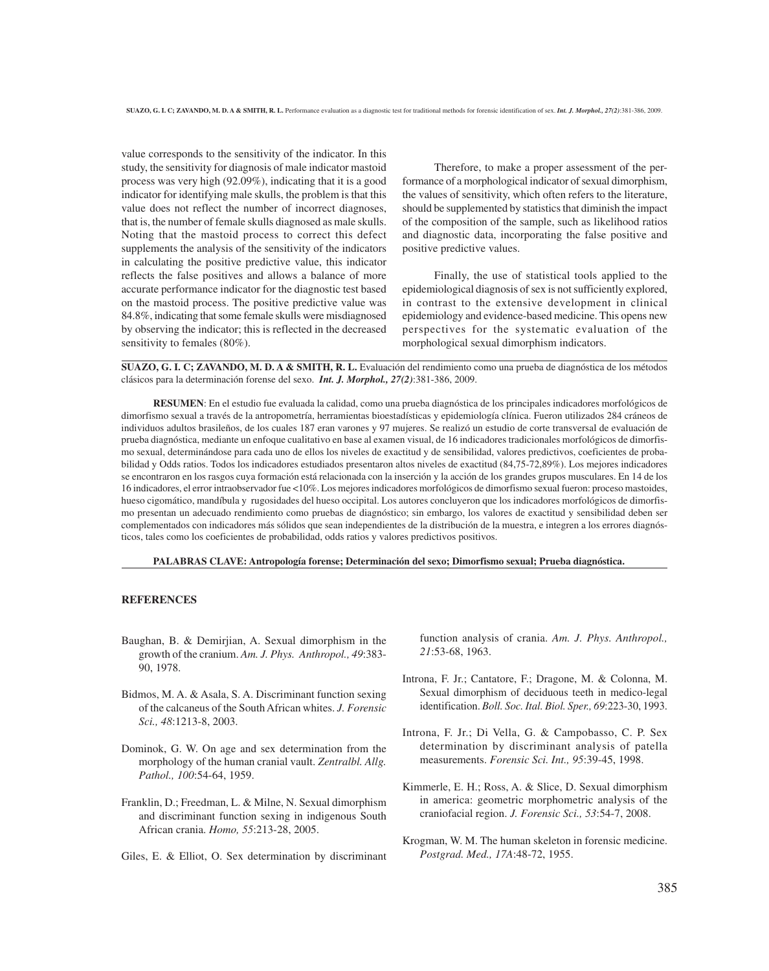value corresponds to the sensitivity of the indicator. In this study, the sensitivity for diagnosis of male indicator mastoid process was very high (92.09%), indicating that it is a good indicator for identifying male skulls, the problem is that this value does not reflect the number of incorrect diagnoses, that is, the number of female skulls diagnosed as male skulls. Noting that the mastoid process to correct this defect supplements the analysis of the sensitivity of the indicators in calculating the positive predictive value, this indicator reflects the false positives and allows a balance of more accurate performance indicator for the diagnostic test based on the mastoid process. The positive predictive value was 84.8%, indicating that some female skulls were misdiagnosed by observing the indicator; this is reflected in the decreased sensitivity to females (80%).

Therefore, to make a proper assessment of the performance of a morphological indicator of sexual dimorphism, the values of sensitivity, which often refers to the literature, should be supplemented by statistics that diminish the impact of the composition of the sample, such as likelihood ratios and diagnostic data, incorporating the false positive and positive predictive values.

Finally, the use of statistical tools applied to the epidemiological diagnosis of sex is not sufficiently explored, in contrast to the extensive development in clinical epidemiology and evidence-based medicine. This opens new perspectives for the systematic evaluation of the morphological sexual dimorphism indicators.

**SUAZO, G. I. C; ZAVANDO, M. D. A & SMITH, R. L.** Evaluación del rendimiento como una prueba de diagnóstica de los métodos clásicos para la determinación forense del sexo. *Int. J. Morphol., 27(2)*:381-386, 2009.

**RESUMEN**: En el estudio fue evaluada la calidad, como una prueba diagnóstica de los principales indicadores morfológicos de dimorfismo sexual a través de la antropometría, herramientas bioestadísticas y epidemiología clínica. Fueron utilizados 284 cráneos de individuos adultos brasileños, de los cuales 187 eran varones y 97 mujeres. Se realizó un estudio de corte transversal de evaluación de prueba diagnóstica, mediante un enfoque cualitativo en base al examen visual, de 16 indicadores tradicionales morfológicos de dimorfismo sexual, determinándose para cada uno de ellos los niveles de exactitud y de sensibilidad, valores predictivos, coeficientes de probabilidad y Odds ratios. Todos los indicadores estudiados presentaron altos niveles de exactitud (84,75-72,89%). Los mejores indicadores se encontraron en los rasgos cuya formación está relacionada con la inserción y la acción de los grandes grupos musculares. En 14 de los 16 indicadores, el error intraobservador fue <10%. Los mejores indicadores morfológicos de dimorfismo sexual fueron: proceso mastoides, hueso cigomático, mandíbula y rugosidades del hueso occipital. Los autores concluyeron que los indicadores morfológicos de dimorfismo presentan un adecuado rendimiento como pruebas de diagnóstico; sin embargo, los valores de exactitud y sensibilidad deben ser complementados con indicadores más sólidos que sean independientes de la distribución de la muestra, e integren a los errores diagnósticos, tales como los coeficientes de probabilidad, odds ratios y valores predictivos positivos.

#### **PALABRAS CLAVE: Antropología forense; Determinación del sexo; Dimorfismo sexual; Prueba diagnóstica.**

# **REFERENCES**

- Baughan, B. & Demirjian, A. Sexual dimorphism in the growth of the cranium. *Am. J. Phys. Anthropol., 49*:383- 90, 1978.
- Bidmos, M. A. & Asala, S. A. Discriminant function sexing of the calcaneus of the South African whites. *J. Forensic Sci., 48*:1213-8, 2003.
- Dominok, G. W. On age and sex determination from the morphology of the human cranial vault. *Zentralbl. Allg. Pathol., 100*:54-64, 1959.
- Franklin, D.; Freedman, L. & Milne, N. Sexual dimorphism and discriminant function sexing in indigenous South African crania. *Homo, 55*:213-28, 2005.
- Giles, E. & Elliot, O. Sex determination by discriminant

function analysis of crania. *Am. J. Phys. Anthropol., 21*:53-68, 1963.

- Introna, F. Jr.; Cantatore, F.; Dragone, M. & Colonna, M. Sexual dimorphism of deciduous teeth in medico-legal identification. *Boll. Soc. Ital. Biol. Sper., 69*:223-30, 1993.
- Introna, F. Jr.; Di Vella, G. & Campobasso, C. P. Sex determination by discriminant analysis of patella measurements. *Forensic Sci. Int., 95*:39-45, 1998.
- Kimmerle, E. H.; Ross, A. & Slice, D. Sexual dimorphism in america: geometric morphometric analysis of the craniofacial region. *J. Forensic Sci., 53*:54-7, 2008.
- Krogman, W. M. The human skeleton in forensic medicine. *Postgrad. Med., 17A*:48-72, 1955.